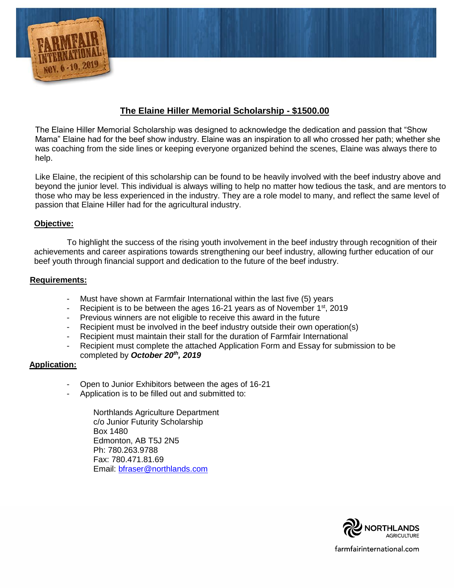

# **The Elaine Hiller Memorial Scholarship - \$1500.00**

The Elaine Hiller Memorial Scholarship was designed to acknowledge the dedication and passion that "Show Mama" Elaine had for the beef show industry. Elaine was an inspiration to all who crossed her path; whether she was coaching from the side lines or keeping everyone organized behind the scenes, Elaine was always there to help.

Like Elaine, the recipient of this scholarship can be found to be heavily involved with the beef industry above and beyond the junior level. This individual is always willing to help no matter how tedious the task, and are mentors to those who may be less experienced in the industry. They are a role model to many, and reflect the same level of passion that Elaine Hiller had for the agricultural industry.

### **Objective:**

To highlight the success of the rising youth involvement in the beef industry through recognition of their achievements and career aspirations towards strengthening our beef industry, allowing further education of our beef youth through financial support and dedication to the future of the beef industry.

### **Requirements:**

- Must have shown at Farmfair International within the last five (5) years
- Recipient is to be between the ages 16-21 years as of November 1<sup>st</sup>, 2019
- Previous winners are not eligible to receive this award in the future
- Recipient must be involved in the beef industry outside their own operation(s)
- Recipient must maintain their stall for the duration of Farmfair International
- Recipient must complete the attached Application Form and Essay for submission to be completed by *October 20th , 2019*

#### **Application:**

- Open to Junior Exhibitors between the ages of 16-21
- Application is to be filled out and submitted to:

Northlands Agriculture Department c/o Junior Futurity Scholarship Box 1480 Edmonton, AB T5J 2N5 Ph: 780.263.9788 Fax: 780.471.81.69 Email: [bfraser@northlands.com](mailto:bfraser@northlands.com)

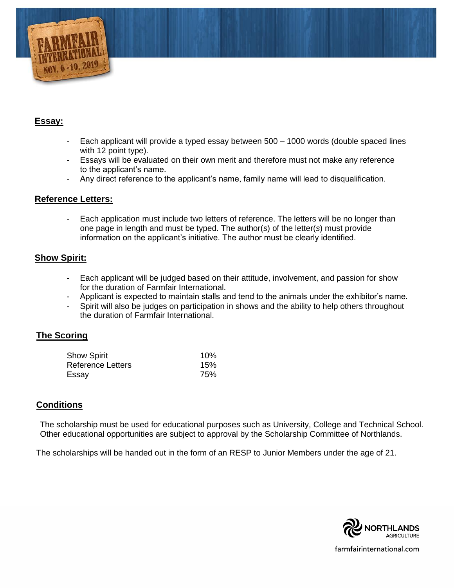

# **Essay:**

- Each applicant will provide a typed essay between 500 1000 words (double spaced lines with 12 point type).
- Essays will be evaluated on their own merit and therefore must not make any reference to the applicant's name.
- Any direct reference to the applicant's name, family name will lead to disqualification.

### **Reference Letters:**

Each application must include two letters of reference. The letters will be no longer than one page in length and must be typed. The author(*s*) of the letter(*s*) must provide information on the applicant's initiative. The author must be clearly identified.

### **Show Spirit:**

- Each applicant will be judged based on their attitude, involvement, and passion for show for the duration of Farmfair International.
- Applicant is expected to maintain stalls and tend to the animals under the exhibitor's name.
- Spirit will also be judges on participation in shows and the ability to help others throughout the duration of Farmfair International.

# **The Scoring**

| <b>Show Spirit</b>       | 10% |
|--------------------------|-----|
| <b>Reference Letters</b> | 15% |
| Essay                    | 75% |

# **Conditions**

The scholarship must be used for educational purposes such as University, College and Technical School. Other educational opportunities are subject to approval by the Scholarship Committee of Northlands.

The scholarships will be handed out in the form of an RESP to Junior Members under the age of 21.



farmfairinternational.com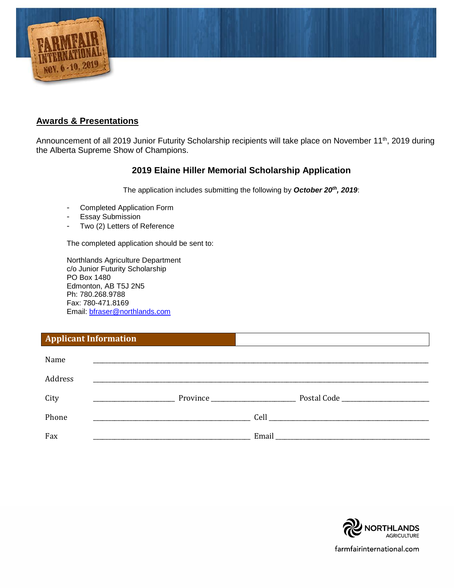

## **Awards & Presentations**

Announcement of all 2019 Junior Futurity Scholarship recipients will take place on November 11<sup>th</sup>, 2019 during the Alberta Supreme Show of Champions.

# **2019 Elaine Hiller Memorial Scholarship Application**

The application includes submitting the following by *October 20th , 2019*:

- Completed Application Form
- Essay Submission
- Two (2) Letters of Reference

The completed application should be sent to:

Northlands Agriculture Department c/o Junior Futurity Scholarship PO Box 1480 Edmonton, AB T5J 2N5 Ph: 780.268.9788 Fax: 780-471.8169 Email: [bfraser@northlands.com](mailto:bfraser@northlands.com)

# **Applicant Information**

| Name    | <u> 1989 - Andrea Stadt Britain, amerikan berlandar berlandar berlandar berlanda berlanda berlanda berlanda berl</u> |                                                                                    |
|---------|----------------------------------------------------------------------------------------------------------------------|------------------------------------------------------------------------------------|
| Address |                                                                                                                      |                                                                                    |
| City    |                                                                                                                      |                                                                                    |
| Phone   |                                                                                                                      | Cell<br>the control of the control of the control of the control of the control of |
| Fax     |                                                                                                                      | Email                                                                              |